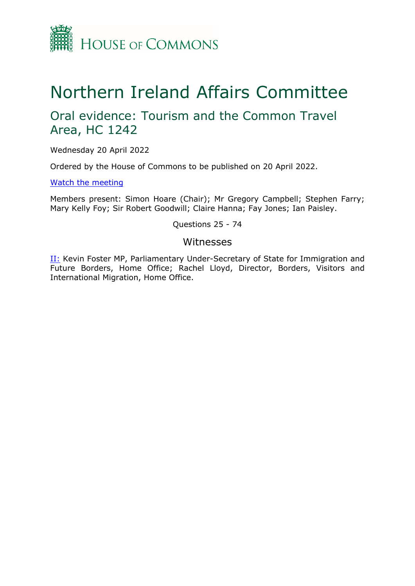

## Northern Ireland Affairs Committee

## Oral evidence: Tourism and the Common Travel Area, HC 1242

Wednesday 20 April 2022

Ordered by the House of Commons to be published on 20 April 2022.

[Watch](https://parliamentlive.tv/event/index/5a12aa1e-a3a9-459c-8095-1bc4094bf764) [the](https://parliamentlive.tv/event/index/5a12aa1e-a3a9-459c-8095-1bc4094bf764) [meeting](https://parliamentlive.tv/event/index/5a12aa1e-a3a9-459c-8095-1bc4094bf764)

Members present: Simon Hoare (Chair); Mr Gregory Campbell; Stephen Farry; Mary Kelly Foy; Sir Robert Goodwill; Claire Hanna; Fay Jones; Ian Paisley.

Questions 25 - 74

## Witnesses

[II:](#page-1-0) Kevin Foster MP, Parliamentary Under-Secretary of State for Immigration and Future Borders, Home Office; Rachel Lloyd, Director, Borders, Visitors and International Migration, Home Office.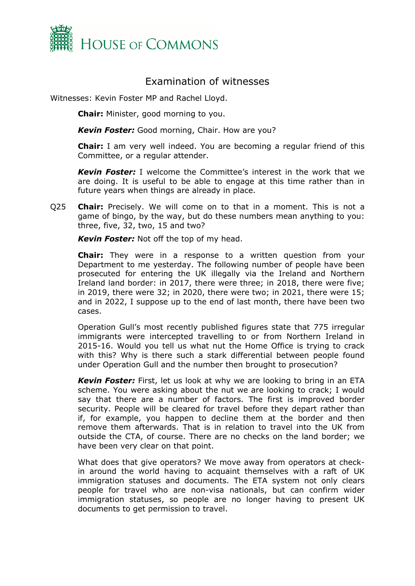

## Examination of witnesses

<span id="page-1-0"></span>Witnesses: Kevin Foster MP and Rachel Lloyd.

**Chair:** Minister, good morning to you.

*Kevin Foster:* Good morning, Chair. How are you?

**Chair:** I am very well indeed. You are becoming a regular friend of this Committee, or a regular attender.

*Kevin Foster:* I welcome the Committee's interest in the work that we are doing. It is useful to be able to engage at this time rather than in future years when things are already in place.

Q25 **Chair:** Precisely. We will come on to that in a moment. This is not a game of bingo, by the way, but do these numbers mean anything to you: three, five, 32, two, 15 and two?

*Kevin Foster:* Not off the top of my head.

**Chair:** They were in a response to a written question from your Department to me yesterday. The following number of people have been prosecuted for entering the UK illegally via the Ireland and Northern Ireland land border: in 2017, there were three; in 2018, there were five; in 2019, there were 32; in 2020, there were two; in 2021, there were 15; and in 2022, I suppose up to the end of last month, there have been two cases.

Operation Gull's most recently published figures state that 775 irregular immigrants were intercepted travelling to or from Northern Ireland in 2015-16. Would you tell us what nut the Home Office is trying to crack with this? Why is there such a stark differential between people found under Operation Gull and the number then brought to prosecution?

*Kevin Foster:* First, let us look at why we are looking to bring in an ETA scheme. You were asking about the nut we are looking to crack; I would say that there are a number of factors. The first is improved border security. People will be cleared for travel before they depart rather than if, for example, you happen to decline them at the border and then remove them afterwards. That is in relation to travel into the UK from outside the CTA, of course. There are no checks on the land border; we have been very clear on that point.

What does that give operators? We move away from operators at checkin around the world having to acquaint themselves with a raft of UK immigration statuses and documents. The ETA system not only clears people for travel who are non-visa nationals, but can confirm wider immigration statuses, so people are no longer having to present UK documents to get permission to travel.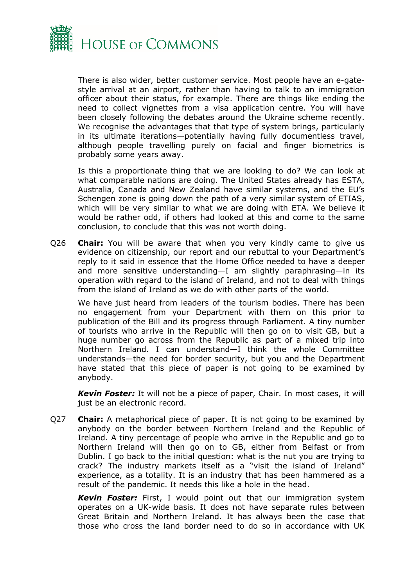

There is also wider, better customer service. Most people have an e-gatestyle arrival at an airport, rather than having to talk to an immigration officer about their status, for example. There are things like ending the need to collect vignettes from a visa application centre. You will have been closely following the debates around the Ukraine scheme recently. We recognise the advantages that that type of system brings, particularly in its ultimate iterations—potentially having fully documentless travel, although people travelling purely on facial and finger biometrics is probably some years away.

Is this a proportionate thing that we are looking to do? We can look at what comparable nations are doing. The United States already has ESTA, Australia, Canada and New Zealand have similar systems, and the EU's Schengen zone is going down the path of a very similar system of ETIAS, which will be very similar to what we are doing with ETA. We believe it would be rather odd, if others had looked at this and come to the same conclusion, to conclude that this was not worth doing.

Q26 **Chair:** You will be aware that when you very kindly came to give us evidence on citizenship, our report and our rebuttal to your Department's reply to it said in essence that the Home Office needed to have a deeper and more sensitive understanding—I am slightly paraphrasing—in its operation with regard to the island of Ireland, and not to deal with things from the island of Ireland as we do with other parts of the world.

We have just heard from leaders of the tourism bodies. There has been no engagement from your Department with them on this prior to publication of the Bill and its progress through Parliament. A tiny number of tourists who arrive in the Republic will then go on to visit GB, but a huge number go across from the Republic as part of a mixed trip into Northern Ireland. I can understand—I think the whole Committee understands—the need for border security, but you and the Department have stated that this piece of paper is not going to be examined by anybody.

*Kevin Foster:* It will not be a piece of paper, Chair. In most cases, it will just be an electronic record.

Q27 **Chair:** A metaphorical piece of paper. It is not going to be examined by anybody on the border between Northern Ireland and the Republic of Ireland. A tiny percentage of people who arrive in the Republic and go to Northern Ireland will then go on to GB, either from Belfast or from Dublin. I go back to the initial question: what is the nut you are trying to crack? The industry markets itself as a "visit the island of Ireland" experience, as a totality. It is an industry that has been hammered as a result of the pandemic. It needs this like a hole in the head.

*Kevin Foster:* First, I would point out that our immigration system operates on a UK-wide basis. It does not have separate rules between Great Britain and Northern Ireland. It has always been the case that those who cross the land border need to do so in accordance with UK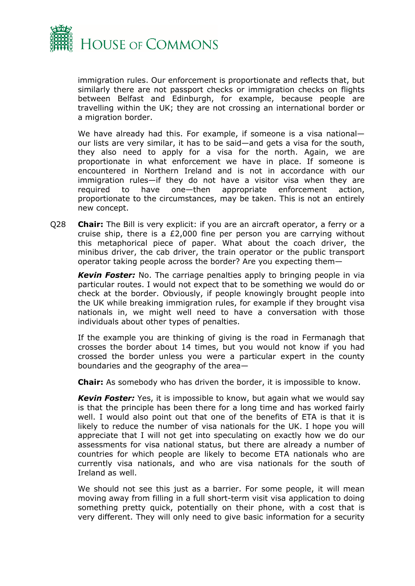

immigration rules. Our enforcement is proportionate and reflects that, but similarly there are not passport checks or immigration checks on flights between Belfast and Edinburgh, for example, because people are travelling within the UK; they are not crossing an international border or a migration border.

We have already had this. For example, if someone is a visa nationalour lists are very similar, it has to be said—and gets a visa for the south, they also need to apply for a visa for the north. Again, we are proportionate in what enforcement we have in place. If someone is encountered in Northern Ireland and is not in accordance with our immigration rules—if they do not have a visitor visa when they are required to have one—then appropriate enforcement action, proportionate to the circumstances, may be taken. This is not an entirely new concept.

Q28 **Chair:** The Bill is very explicit: if you are an aircraft operator, a ferry or a cruise ship, there is a £2,000 fine per person you are carrying without this metaphorical piece of paper. What about the coach driver, the minibus driver, the cab driver, the train operator or the public transport operator taking people across the border? Are you expecting them—

*Kevin Foster:* No. The carriage penalties apply to bringing people in via particular routes. I would not expect that to be something we would do or check at the border. Obviously, if people knowingly brought people into the UK while breaking immigration rules, for example if they brought visa nationals in, we might well need to have a conversation with those individuals about other types of penalties.

If the example you are thinking of giving is the road in Fermanagh that crosses the border about 14 times, but you would not know if you had crossed the border unless you were a particular expert in the county boundaries and the geography of the area—

**Chair:** As somebody who has driven the border, it is impossible to know.

*Kevin Foster:* Yes, it is impossible to know, but again what we would say is that the principle has been there for a long time and has worked fairly well. I would also point out that one of the benefits of ETA is that it is likely to reduce the number of visa nationals for the UK. I hope you will appreciate that I will not get into speculating on exactly how we do our assessments for visa national status, but there are already a number of countries for which people are likely to become ETA nationals who are currently visa nationals, and who are visa nationals for the south of Ireland as well.

We should not see this just as a barrier. For some people, it will mean moving away from filling in a full short-term visit visa application to doing something pretty quick, potentially on their phone, with a cost that is very different. They will only need to give basic information for a security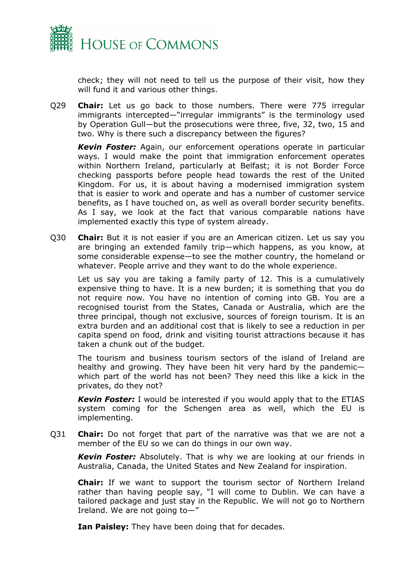

check; they will not need to tell us the purpose of their visit, how they will fund it and various other things.

Q29 **Chair:** Let us go back to those numbers. There were 775 irregular immigrants intercepted—"irregular immigrants" is the terminology used by Operation Gull—but the prosecutions were three, five, 32, two, 15 and two. Why is there such a discrepancy between the figures?

*Kevin Foster:* Again, our enforcement operations operate in particular ways. I would make the point that immigration enforcement operates within Northern Ireland, particularly at Belfast; it is not Border Force checking passports before people head towards the rest of the United Kingdom. For us, it is about having a modernised immigration system that is easier to work and operate and has a number of customer service benefits, as I have touched on, as well as overall border security benefits. As I say, we look at the fact that various comparable nations have implemented exactly this type of system already.

Q30 **Chair:** But it is not easier if you are an American citizen. Let us say you are bringing an extended family trip—which happens, as you know, at some considerable expense—to see the mother country, the homeland or whatever. People arrive and they want to do the whole experience.

Let us say you are taking a family party of 12. This is a cumulatively expensive thing to have. It is a new burden; it is something that you do not require now. You have no intention of coming into GB. You are a recognised tourist from the States, Canada or Australia, which are the three principal, though not exclusive, sources of foreign tourism. It is an extra burden and an additional cost that is likely to see a reduction in per capita spend on food, drink and visiting tourist attractions because it has taken a chunk out of the budget.

The tourism and business tourism sectors of the island of Ireland are healthy and growing. They have been hit very hard by the pandemic which part of the world has not been? They need this like a kick in the privates, do they not?

*Kevin Foster:* I would be interested if you would apply that to the ETIAS system coming for the Schengen area as well, which the EU is implementing.

Q31 **Chair:** Do not forget that part of the narrative was that we are not a member of the EU so we can do things in our own way.

*Kevin Foster:* Absolutely. That is why we are looking at our friends in Australia, Canada, the United States and New Zealand for inspiration.

**Chair:** If we want to support the tourism sector of Northern Ireland rather than having people say, "I will come to Dublin. We can have a tailored package and just stay in the Republic. We will not go to Northern Ireland. We are not going to—"

**Ian Paisley:** They have been doing that for decades.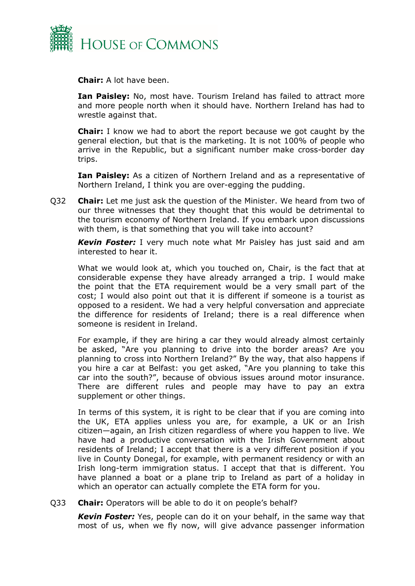

**Chair:** A lot have been.

**Ian Paisley:** No, most have. Tourism Ireland has failed to attract more and more people north when it should have. Northern Ireland has had to wrestle against that.

**Chair:** I know we had to abort the report because we got caught by the general election, but that is the marketing. It is not 100% of people who arrive in the Republic, but a significant number make cross-border day trips.

**Ian Paisley:** As a citizen of Northern Ireland and as a representative of Northern Ireland, I think you are over-egging the pudding.

Q32 **Chair:** Let me just ask the question of the Minister. We heard from two of our three witnesses that they thought that this would be detrimental to the tourism economy of Northern Ireland. If you embark upon discussions with them, is that something that you will take into account?

*Kevin Foster:* I very much note what Mr Paisley has just said and am interested to hear it.

What we would look at, which you touched on, Chair, is the fact that at considerable expense they have already arranged a trip. I would make the point that the ETA requirement would be a very small part of the cost; I would also point out that it is different if someone is a tourist as opposed to a resident. We had a very helpful conversation and appreciate the difference for residents of Ireland; there is a real difference when someone is resident in Ireland.

For example, if they are hiring a car they would already almost certainly be asked, "Are you planning to drive into the border areas? Are you planning to cross into Northern Ireland?" By the way, that also happens if you hire a car at Belfast: you get asked, "Are you planning to take this car into the south?", because of obvious issues around motor insurance. There are different rules and people may have to pay an extra supplement or other things.

In terms of this system, it is right to be clear that if you are coming into the UK, ETA applies unless you are, for example, a UK or an Irish citizen—again, an Irish citizen regardless of where you happen to live. We have had a productive conversation with the Irish Government about residents of Ireland; I accept that there is a very different position if you live in County Donegal, for example, with permanent residency or with an Irish long-term immigration status. I accept that that is different. You have planned a boat or a plane trip to Ireland as part of a holiday in which an operator can actually complete the ETA form for you.

Q33 **Chair:** Operators will be able to do it on people's behalf?

*Kevin Foster:* Yes, people can do it on your behalf, in the same way that most of us, when we fly now, will give advance passenger information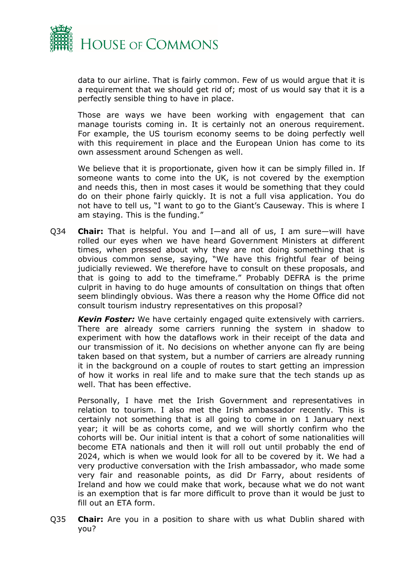

data to our airline. That is fairly common. Few of us would argue that it is a requirement that we should get rid of; most of us would say that it is a perfectly sensible thing to have in place.

Those are ways we have been working with engagement that can manage tourists coming in. It is certainly not an onerous requirement. For example, the US tourism economy seems to be doing perfectly well with this requirement in place and the European Union has come to its own assessment around Schengen as well.

We believe that it is proportionate, given how it can be simply filled in. If someone wants to come into the UK, is not covered by the exemption and needs this, then in most cases it would be something that they could do on their phone fairly quickly. It is not a full visa application. You do not have to tell us, "I want to go to the Giant's Causeway. This is where I am staying. This is the funding."

Q34 **Chair:** That is helpful. You and I—and all of us, I am sure—will have rolled our eyes when we have heard Government Ministers at different times, when pressed about why they are not doing something that is obvious common sense, saying, "We have this frightful fear of being judicially reviewed. We therefore have to consult on these proposals, and that is going to add to the timeframe." Probably DEFRA is the prime culprit in having to do huge amounts of consultation on things that often seem blindingly obvious. Was there a reason why the Home Office did not consult tourism industry representatives on this proposal?

*Kevin Foster:* We have certainly engaged quite extensively with carriers. There are already some carriers running the system in shadow to experiment with how the dataflows work in their receipt of the data and our transmission of it. No decisions on whether anyone can fly are being taken based on that system, but a number of carriers are already running it in the background on a couple of routes to start getting an impression of how it works in real life and to make sure that the tech stands up as well. That has been effective.

Personally, I have met the Irish Government and representatives in relation to tourism. I also met the Irish ambassador recently. This is certainly not something that is all going to come in on 1 January next year; it will be as cohorts come, and we will shortly confirm who the cohorts will be. Our initial intent is that a cohort of some nationalities will become ETA nationals and then it will roll out until probably the end of 2024, which is when we would look for all to be covered by it. We had a very productive conversation with the Irish ambassador, who made some very fair and reasonable points, as did Dr Farry, about residents of Ireland and how we could make that work, because what we do not want is an exemption that is far more difficult to prove than it would be just to fill out an ETA form.

Q35 **Chair:** Are you in a position to share with us what Dublin shared with you?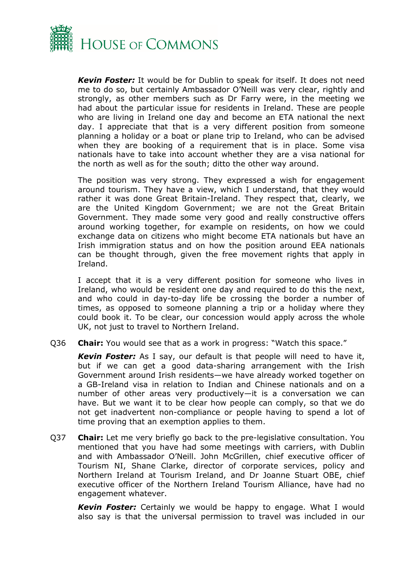

*Kevin Foster:* It would be for Dublin to speak for itself. It does not need me to do so, but certainly Ambassador O'Neill was very clear, rightly and strongly, as other members such as Dr Farry were, in the meeting we had about the particular issue for residents in Ireland. These are people who are living in Ireland one day and become an ETA national the next day. I appreciate that that is a very different position from someone planning a holiday or a boat or plane trip to Ireland, who can be advised when they are booking of a requirement that is in place. Some visa nationals have to take into account whether they are a visa national for the north as well as for the south; ditto the other way around.

The position was very strong. They expressed a wish for engagement around tourism. They have a view, which I understand, that they would rather it was done Great Britain-Ireland. They respect that, clearly, we are the United Kingdom Government; we are not the Great Britain Government. They made some very good and really constructive offers around working together, for example on residents, on how we could exchange data on citizens who might become ETA nationals but have an Irish immigration status and on how the position around EEA nationals can be thought through, given the free movement rights that apply in Ireland.

I accept that it is a very different position for someone who lives in Ireland, who would be resident one day and required to do this the next, and who could in day-to-day life be crossing the border a number of times, as opposed to someone planning a trip or a holiday where they could book it. To be clear, our concession would apply across the whole UK, not just to travel to Northern Ireland.

Q36 **Chair:** You would see that as a work in progress: "Watch this space."

*Kevin Foster:* As I say, our default is that people will need to have it, but if we can get a good data-sharing arrangement with the Irish Government around Irish residents—we have already worked together on a GB-Ireland visa in relation to Indian and Chinese nationals and on a number of other areas very productively—it is a conversation we can have. But we want it to be clear how people can comply, so that we do not get inadvertent non-compliance or people having to spend a lot of time proving that an exemption applies to them.

Q37 **Chair:** Let me very briefly go back to the pre-legislative consultation. You mentioned that you have had some meetings with carriers, with Dublin and with Ambassador O'Neill. John McGrillen, chief executive officer of Tourism NI, Shane Clarke, director of corporate services, policy and Northern Ireland at Tourism Ireland, and Dr Joanne Stuart OBE, chief executive officer of the Northern Ireland Tourism Alliance, have had no engagement whatever.

*Kevin Foster:* Certainly we would be happy to engage. What I would also say is that the universal permission to travel was included in our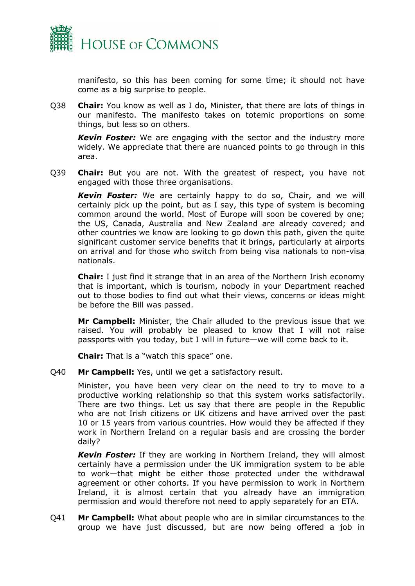

manifesto, so this has been coming for some time; it should not have come as a big surprise to people.

Q38 **Chair:** You know as well as I do, Minister, that there are lots of things in our manifesto. The manifesto takes on totemic proportions on some things, but less so on others.

*Kevin Foster:* We are engaging with the sector and the industry more widely. We appreciate that there are nuanced points to go through in this area.

Q39 **Chair:** But you are not. With the greatest of respect, you have not engaged with those three organisations.

*Kevin Foster:* We are certainly happy to do so, Chair, and we will certainly pick up the point, but as I say, this type of system is becoming common around the world. Most of Europe will soon be covered by one; the US, Canada, Australia and New Zealand are already covered; and other countries we know are looking to go down this path, given the quite significant customer service benefits that it brings, particularly at airports on arrival and for those who switch from being visa nationals to non-visa nationals.

**Chair:** I just find it strange that in an area of the Northern Irish economy that is important, which is tourism, nobody in your Department reached out to those bodies to find out what their views, concerns or ideas might be before the Bill was passed.

**Mr Campbell:** Minister, the Chair alluded to the previous issue that we raised. You will probably be pleased to know that I will not raise passports with you today, but I will in future—we will come back to it.

**Chair:** That is a "watch this space" one.

Q40 **Mr Campbell:** Yes, until we get a satisfactory result.

Minister, you have been very clear on the need to try to move to a productive working relationship so that this system works satisfactorily. There are two things. Let us say that there are people in the Republic who are not Irish citizens or UK citizens and have arrived over the past 10 or 15 years from various countries. How would they be affected if they work in Northern Ireland on a regular basis and are crossing the border daily?

*Kevin Foster:* If they are working in Northern Ireland, they will almost certainly have a permission under the UK immigration system to be able to work—that might be either those protected under the withdrawal agreement or other cohorts. If you have permission to work in Northern Ireland, it is almost certain that you already have an immigration permission and would therefore not need to apply separately for an ETA.

Q41 **Mr Campbell:** What about people who are in similar circumstances to the group we have just discussed, but are now being offered a job in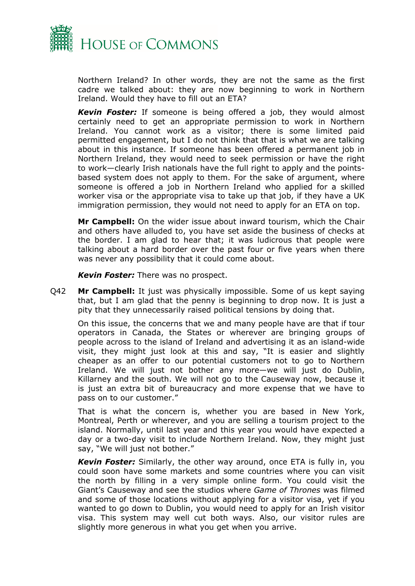

Northern Ireland? In other words, they are not the same as the first cadre we talked about: they are now beginning to work in Northern Ireland. Would they have to fill out an ETA?

*Kevin Foster:* If someone is being offered a job, they would almost certainly need to get an appropriate permission to work in Northern Ireland. You cannot work as a visitor; there is some limited paid permitted engagement, but I do not think that that is what we are talking about in this instance. If someone has been offered a permanent job in Northern Ireland, they would need to seek permission or have the right to work—clearly Irish nationals have the full right to apply and the pointsbased system does not apply to them. For the sake of argument, where someone is offered a job in Northern Ireland who applied for a skilled worker visa or the appropriate visa to take up that job, if they have a UK immigration permission, they would not need to apply for an ETA on top.

**Mr Campbell:** On the wider issue about inward tourism, which the Chair and others have alluded to, you have set aside the business of checks at the border. I am glad to hear that; it was ludicrous that people were talking about a hard border over the past four or five years when there was never any possibility that it could come about.

*Kevin Foster:* There was no prospect.

Q42 **Mr Campbell:** It just was physically impossible. Some of us kept saying that, but I am glad that the penny is beginning to drop now. It is just a pity that they unnecessarily raised political tensions by doing that.

On this issue, the concerns that we and many people have are that if tour operators in Canada, the States or wherever are bringing groups of people across to the island of Ireland and advertising it as an island-wide visit, they might just look at this and say, "It is easier and slightly cheaper as an offer to our potential customers not to go to Northern Ireland. We will just not bother any more—we will just do Dublin, Killarney and the south. We will not go to the Causeway now, because it is just an extra bit of bureaucracy and more expense that we have to pass on to our customer."

That is what the concern is, whether you are based in New York, Montreal, Perth or wherever, and you are selling a tourism project to the island. Normally, until last year and this year you would have expected a day or a two-day visit to include Northern Ireland. Now, they might just say, "We will just not bother."

*Kevin Foster:* Similarly, the other way around, once ETA is fully in, you could soon have some markets and some countries where you can visit the north by filling in a very simple online form. You could visit the Giant's Causeway and see the studios where *Game of Thrones* was filmed and some of those locations without applying for a visitor visa, yet if you wanted to go down to Dublin, you would need to apply for an Irish visitor visa. This system may well cut both ways. Also, our visitor rules are slightly more generous in what you get when you arrive.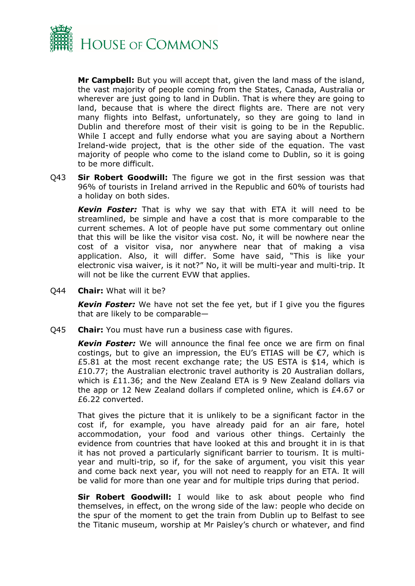

**Mr Campbell:** But you will accept that, given the land mass of the island, the vast majority of people coming from the States, Canada, Australia or wherever are just going to land in Dublin. That is where they are going to land, because that is where the direct flights are. There are not very many flights into Belfast, unfortunately, so they are going to land in Dublin and therefore most of their visit is going to be in the Republic. While I accept and fully endorse what you are saying about a Northern Ireland-wide project, that is the other side of the equation. The vast majority of people who come to the island come to Dublin, so it is going to be more difficult.

Q43 **Sir Robert Goodwill:** The figure we got in the first session was that 96% of tourists in Ireland arrived in the Republic and 60% of tourists had a holiday on both sides.

*Kevin Foster:* That is why we say that with ETA it will need to be streamlined, be simple and have a cost that is more comparable to the current schemes. A lot of people have put some commentary out online that this will be like the visitor visa cost. No, it will be nowhere near the cost of a visitor visa, nor anywhere near that of making a visa application. Also, it will differ. Some have said, "This is like your electronic visa waiver, is it not?" No, it will be multi-year and multi-trip. It will not be like the current EVW that applies.

Q44 **Chair:** What will it be?

*Kevin Foster:* We have not set the fee yet, but if I give you the figures that are likely to be comparable—

Q45 **Chair:** You must have run a business case with figures.

*Kevin Foster:* We will announce the final fee once we are firm on final costings, but to give an impression, the EU's ETIAS will be €7, which is £5.81 at the most recent exchange rate; the US ESTA is \$14, which is £10.77; the Australian electronic travel authority is 20 Australian dollars, which is £11.36; and the New Zealand ETA is 9 New Zealand dollars via the app or 12 New Zealand dollars if completed online, which is £4.67 or £6.22 converted.

That gives the picture that it is unlikely to be a significant factor in the cost if, for example, you have already paid for an air fare, hotel accommodation, your food and various other things. Certainly the evidence from countries that have looked at this and brought it in is that it has not proved a particularly significant barrier to tourism. It is multiyear and multi-trip, so if, for the sake of argument, you visit this year and come back next year, you will not need to reapply for an ETA. It will be valid for more than one year and for multiple trips during that period.

**Sir Robert Goodwill:** I would like to ask about people who find themselves, in effect, on the wrong side of the law: people who decide on the spur of the moment to get the train from Dublin up to Belfast to see the Titanic museum, worship at Mr Paisley's church or whatever, and find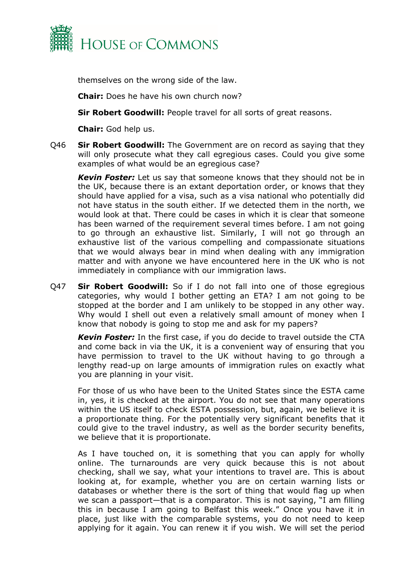

themselves on the wrong side of the law.

**Chair:** Does he have his own church now?

**Sir Robert Goodwill:** People travel for all sorts of great reasons.

**Chair:** God help us.

Q46 **Sir Robert Goodwill:** The Government are on record as saying that they will only prosecute what they call egregious cases. Could you give some examples of what would be an egregious case?

*Kevin Foster:* Let us say that someone knows that they should not be in the UK, because there is an extant deportation order, or knows that they should have applied for a visa, such as a visa national who potentially did not have status in the south either. If we detected them in the north, we would look at that. There could be cases in which it is clear that someone has been warned of the requirement several times before. I am not going to go through an exhaustive list. Similarly, I will not go through an exhaustive list of the various compelling and compassionate situations that we would always bear in mind when dealing with any immigration matter and with anyone we have encountered here in the UK who is not immediately in compliance with our immigration laws.

Q47 **Sir Robert Goodwill:** So if I do not fall into one of those egregious categories, why would I bother getting an ETA? I am not going to be stopped at the border and I am unlikely to be stopped in any other way. Why would I shell out even a relatively small amount of money when I know that nobody is going to stop me and ask for my papers?

*Kevin Foster:* In the first case, if you do decide to travel outside the CTA and come back in via the UK, it is a convenient way of ensuring that you have permission to travel to the UK without having to go through a lengthy read-up on large amounts of immigration rules on exactly what you are planning in your visit.

For those of us who have been to the United States since the ESTA came in, yes, it is checked at the airport. You do not see that many operations within the US itself to check ESTA possession, but, again, we believe it is a proportionate thing. For the potentially very significant benefits that it could give to the travel industry, as well as the border security benefits, we believe that it is proportionate.

As I have touched on, it is something that you can apply for wholly online. The turnarounds are very quick because this is not about checking, shall we say, what your intentions to travel are. This is about looking at, for example, whether you are on certain warning lists or databases or whether there is the sort of thing that would flag up when we scan a passport—that is a comparator. This is not saying, "I am filling this in because I am going to Belfast this week." Once you have it in place, just like with the comparable systems, you do not need to keep applying for it again. You can renew it if you wish. We will set the period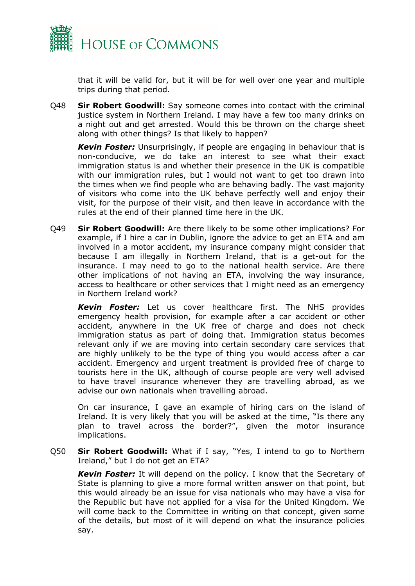

that it will be valid for, but it will be for well over one year and multiple trips during that period.

Q48 **Sir Robert Goodwill:** Say someone comes into contact with the criminal justice system in Northern Ireland. I may have a few too many drinks on a night out and get arrested. Would this be thrown on the charge sheet along with other things? Is that likely to happen?

*Kevin Foster:* Unsurprisingly, if people are engaging in behaviour that is non-conducive, we do take an interest to see what their exact immigration status is and whether their presence in the UK is compatible with our immigration rules, but I would not want to get too drawn into the times when we find people who are behaving badly. The vast majority of visitors who come into the UK behave perfectly well and enjoy their visit, for the purpose of their visit, and then leave in accordance with the rules at the end of their planned time here in the UK.

Q49 **Sir Robert Goodwill:** Are there likely to be some other implications? For example, if I hire a car in Dublin, ignore the advice to get an ETA and am involved in a motor accident, my insurance company might consider that because I am illegally in Northern Ireland, that is a get-out for the insurance. I may need to go to the national health service. Are there other implications of not having an ETA, involving the way insurance, access to healthcare or other services that I might need as an emergency in Northern Ireland work?

*Kevin Foster:* Let us cover healthcare first. The NHS provides emergency health provision, for example after a car accident or other accident, anywhere in the UK free of charge and does not check immigration status as part of doing that. Immigration status becomes relevant only if we are moving into certain secondary care services that are highly unlikely to be the type of thing you would access after a car accident. Emergency and urgent treatment is provided free of charge to tourists here in the UK, although of course people are very well advised to have travel insurance whenever they are travelling abroad, as we advise our own nationals when travelling abroad.

On car insurance, I gave an example of hiring cars on the island of Ireland. It is very likely that you will be asked at the time, "Is there any plan to travel across the border?", given the motor insurance implications.

Q50 **Sir Robert Goodwill:** What if I say, "Yes, I intend to go to Northern Ireland," but I do not get an ETA?

*Kevin Foster:* It will depend on the policy. I know that the Secretary of State is planning to give a more formal written answer on that point, but this would already be an issue for visa nationals who may have a visa for the Republic but have not applied for a visa for the United Kingdom. We will come back to the Committee in writing on that concept, given some of the details, but most of it will depend on what the insurance policies say.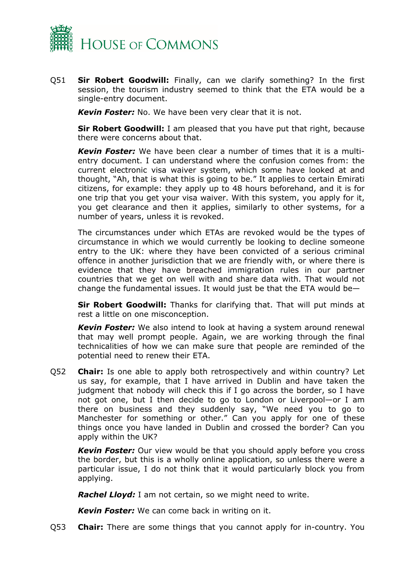

Q51 **Sir Robert Goodwill:** Finally, can we clarify something? In the first session, the tourism industry seemed to think that the ETA would be a single-entry document.

*Kevin Foster:* No. We have been very clear that it is not.

**Sir Robert Goodwill:** I am pleased that you have put that right, because there were concerns about that.

*Kevin Foster:* We have been clear a number of times that it is a multientry document. I can understand where the confusion comes from: the current electronic visa waiver system, which some have looked at and thought, "Ah, that is what this is going to be." It applies to certain Emirati citizens, for example: they apply up to 48 hours beforehand, and it is for one trip that you get your visa waiver. With this system, you apply for it, you get clearance and then it applies, similarly to other systems, for a number of years, unless it is revoked.

The circumstances under which ETAs are revoked would be the types of circumstance in which we would currently be looking to decline someone entry to the UK: where they have been convicted of a serious criminal offence in another jurisdiction that we are friendly with, or where there is evidence that they have breached immigration rules in our partner countries that we get on well with and share data with. That would not change the fundamental issues. It would just be that the ETA would be—

**Sir Robert Goodwill:** Thanks for clarifying that. That will put minds at rest a little on one misconception.

*Kevin Foster:* We also intend to look at having a system around renewal that may well prompt people. Again, we are working through the final technicalities of how we can make sure that people are reminded of the potential need to renew their ETA.

Q52 **Chair:** Is one able to apply both retrospectively and within country? Let us say, for example, that I have arrived in Dublin and have taken the judgment that nobody will check this if I go across the border, so I have not got one, but I then decide to go to London or Liverpool—or I am there on business and they suddenly say, "We need you to go to Manchester for something or other." Can you apply for one of these things once you have landed in Dublin and crossed the border? Can you apply within the UK?

*Kevin Foster:* Our view would be that you should apply before you cross the border, but this is a wholly online application, so unless there were a particular issue, I do not think that it would particularly block you from applying.

*Rachel Lloyd:* I am not certain, so we might need to write.

*Kevin Foster:* We can come back in writing on it.

Q53 **Chair:** There are some things that you cannot apply for in-country. You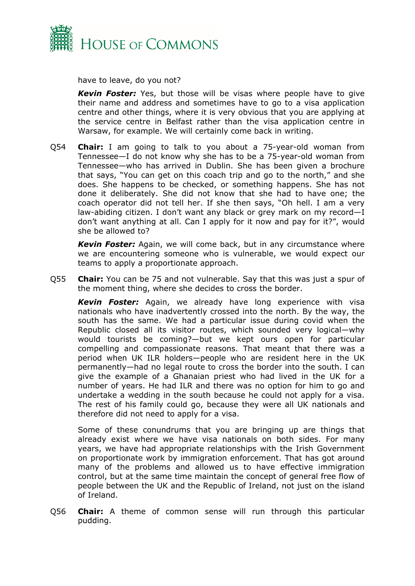

have to leave, do you not?

*Kevin Foster:* Yes, but those will be visas where people have to give their name and address and sometimes have to go to a visa application centre and other things, where it is very obvious that you are applying at the service centre in Belfast rather than the visa application centre in Warsaw, for example. We will certainly come back in writing.

Q54 **Chair:** I am going to talk to you about a 75-year-old woman from Tennessee—I do not know why she has to be a 75-year-old woman from Tennessee—who has arrived in Dublin. She has been given a brochure that says, "You can get on this coach trip and go to the north," and she does. She happens to be checked, or something happens. She has not done it deliberately. She did not know that she had to have one; the coach operator did not tell her. If she then says, "Oh hell. I am a very law-abiding citizen. I don't want any black or grey mark on my record—I don't want anything at all. Can I apply for it now and pay for it?", would she be allowed to?

*Kevin Foster:* Again, we will come back, but in any circumstance where we are encountering someone who is vulnerable, we would expect our teams to apply a proportionate approach.

Q55 **Chair:** You can be 75 and not vulnerable. Say that this was just a spur of the moment thing, where she decides to cross the border.

*Kevin Foster:* Again, we already have long experience with visa nationals who have inadvertently crossed into the north. By the way, the south has the same. We had a particular issue during covid when the Republic closed all its visitor routes, which sounded very logical—why would tourists be coming?—but we kept ours open for particular compelling and compassionate reasons. That meant that there was a period when UK ILR holders—people who are resident here in the UK permanently—had no legal route to cross the border into the south. I can give the example of a Ghanaian priest who had lived in the UK for a number of years. He had ILR and there was no option for him to go and undertake a wedding in the south because he could not apply for a visa. The rest of his family could go, because they were all UK nationals and therefore did not need to apply for a visa.

Some of these conundrums that you are bringing up are things that already exist where we have visa nationals on both sides. For many years, we have had appropriate relationships with the Irish Government on proportionate work by immigration enforcement. That has got around many of the problems and allowed us to have effective immigration control, but at the same time maintain the concept of general free flow of people between the UK and the Republic of Ireland, not just on the island of Ireland.

Q56 **Chair:** A theme of common sense will run through this particular pudding.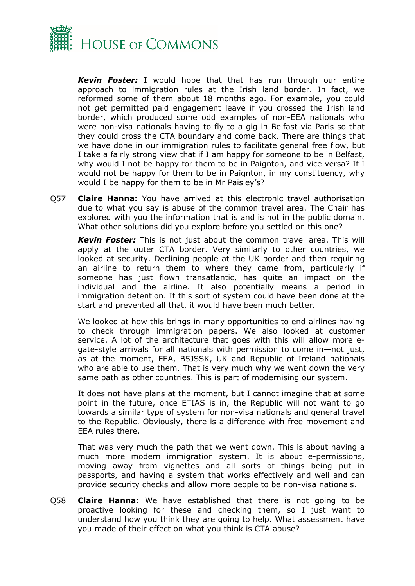

*Kevin Foster:* I would hope that that has run through our entire approach to immigration rules at the Irish land border. In fact, we reformed some of them about 18 months ago. For example, you could not get permitted paid engagement leave if you crossed the Irish land border, which produced some odd examples of non-EEA nationals who were non-visa nationals having to fly to a gig in Belfast via Paris so that they could cross the CTA boundary and come back. There are things that we have done in our immigration rules to facilitate general free flow, but I take a fairly strong view that if I am happy for someone to be in Belfast, why would I not be happy for them to be in Paignton, and vice versa? If I would not be happy for them to be in Paignton, in my constituency, why would I be happy for them to be in Mr Paisley's?

Q57 **Claire Hanna:** You have arrived at this electronic travel authorisation due to what you say is abuse of the common travel area. The Chair has explored with you the information that is and is not in the public domain. What other solutions did you explore before you settled on this one?

*Kevin Foster:* This is not just about the common travel area. This will apply at the outer CTA border. Very similarly to other countries, we looked at security. Declining people at the UK border and then requiring an airline to return them to where they came from, particularly if someone has just flown transatlantic, has quite an impact on the individual and the airline. It also potentially means a period in immigration detention. If this sort of system could have been done at the start and prevented all that, it would have been much better.

We looked at how this brings in many opportunities to end airlines having to check through immigration papers. We also looked at customer service. A lot of the architecture that goes with this will allow more egate-style arrivals for all nationals with permission to come in—not just, as at the moment, EEA, B5JSSK, UK and Republic of Ireland nationals who are able to use them. That is very much why we went down the very same path as other countries. This is part of modernising our system.

It does not have plans at the moment, but I cannot imagine that at some point in the future, once ETIAS is in, the Republic will not want to go towards a similar type of system for non-visa nationals and general travel to the Republic. Obviously, there is a difference with free movement and EEA rules there.

That was very much the path that we went down. This is about having a much more modern immigration system. It is about e-permissions, moving away from vignettes and all sorts of things being put in passports, and having a system that works effectively and well and can provide security checks and allow more people to be non-visa nationals.

Q58 **Claire Hanna:** We have established that there is not going to be proactive looking for these and checking them, so I just want to understand how you think they are going to help. What assessment have you made of their effect on what you think is CTA abuse?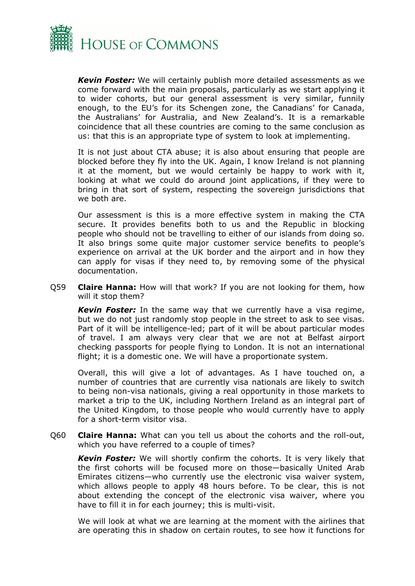

*Kevin Foster:* We will certainly publish more detailed assessments as we come forward with the main proposals, particularly as we start applying it to wider cohorts, but our general assessment is very similar, funnily enough, to the EU's for its Schengen zone, the Canadians' for Canada, the Australians' for Australia, and New Zealand's. It is a remarkable coincidence that all these countries are coming to the same conclusion as us: that this is an appropriate type of system to look at implementing.

It is not just about CTA abuse; it is also about ensuring that people are blocked before they fly into the UK. Again, I know Ireland is not planning it at the moment, but we would certainly be happy to work with it, looking at what we could do around joint applications, if they were to bring in that sort of system, respecting the sovereign jurisdictions that we both are.

Our assessment is this is a more effective system in making the CTA secure. It provides benefits both to us and the Republic in blocking people who should not be travelling to either of our islands from doing so. It also brings some quite major customer service benefits to people's experience on arrival at the UK border and the airport and in how they can apply for visas if they need to, by removing some of the physical documentation.

Q59 **Claire Hanna:** How will that work? If you are not looking for them, how will it stop them?

*Kevin Foster:* In the same way that we currently have a visa regime, but we do not just randomly stop people in the street to ask to see visas. Part of it will be intelligence-led; part of it will be about particular modes of travel. I am always very clear that we are not at Belfast airport checking passports for people flying to London. It is not an international flight; it is a domestic one. We will have a proportionate system.

Overall, this will give a lot of advantages. As I have touched on, a number of countries that are currently visa nationals are likely to switch to being non-visa nationals, giving a real opportunity in those markets to market a trip to the UK, including Northern Ireland as an integral part of the United Kingdom, to those people who would currently have to apply for a short-term visitor visa.

Q60 **Claire Hanna:** What can you tell us about the cohorts and the roll-out, which you have referred to a couple of times?

*Kevin Foster:* We will shortly confirm the cohorts. It is very likely that the first cohorts will be focused more on those—basically United Arab Emirates citizens—who currently use the electronic visa waiver system, which allows people to apply 48 hours before. To be clear, this is not about extending the concept of the electronic visa waiver, where you have to fill it in for each journey; this is multi-visit.

We will look at what we are learning at the moment with the airlines that are operating this in shadow on certain routes, to see how it functions for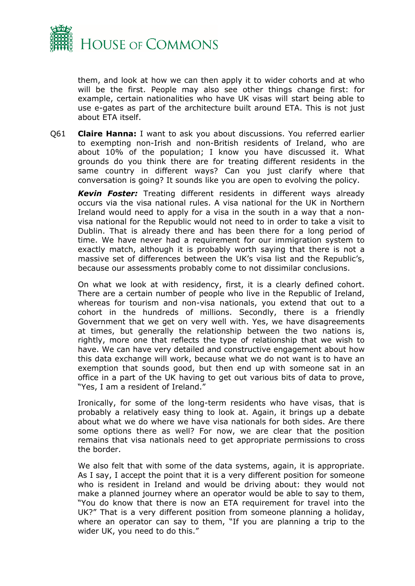

them, and look at how we can then apply it to wider cohorts and at who will be the first. People may also see other things change first: for example, certain nationalities who have UK visas will start being able to use e-gates as part of the architecture built around ETA. This is not just about ETA itself.

Q61 **Claire Hanna:** I want to ask you about discussions. You referred earlier to exempting non-Irish and non-British residents of Ireland, who are about 10% of the population; I know you have discussed it. What grounds do you think there are for treating different residents in the same country in different ways? Can you just clarify where that conversation is going? It sounds like you are open to evolving the policy.

*Kevin Foster:* Treating different residents in different ways already occurs via the visa national rules. A visa national for the UK in Northern Ireland would need to apply for a visa in the south in a way that a nonvisa national for the Republic would not need to in order to take a visit to Dublin. That is already there and has been there for a long period of time. We have never had a requirement for our immigration system to exactly match, although it is probably worth saying that there is not a massive set of differences between the UK's visa list and the Republic's, because our assessments probably come to not dissimilar conclusions.

On what we look at with residency, first, it is a clearly defined cohort. There are a certain number of people who live in the Republic of Ireland, whereas for tourism and non-visa nationals, you extend that out to a cohort in the hundreds of millions. Secondly, there is a friendly Government that we get on very well with. Yes, we have disagreements at times, but generally the relationship between the two nations is, rightly, more one that reflects the type of relationship that we wish to have. We can have very detailed and constructive engagement about how this data exchange will work, because what we do not want is to have an exemption that sounds good, but then end up with someone sat in an office in a part of the UK having to get out various bits of data to prove, "Yes, I am a resident of Ireland."

Ironically, for some of the long-term residents who have visas, that is probably a relatively easy thing to look at. Again, it brings up a debate about what we do where we have visa nationals for both sides. Are there some options there as well? For now, we are clear that the position remains that visa nationals need to get appropriate permissions to cross the border.

We also felt that with some of the data systems, again, it is appropriate. As I say, I accept the point that it is a very different position for someone who is resident in Ireland and would be driving about: they would not make a planned journey where an operator would be able to say to them, "You do know that there is now an ETA requirement for travel into the UK?" That is a very different position from someone planning a holiday, where an operator can say to them, "If you are planning a trip to the wider UK, you need to do this."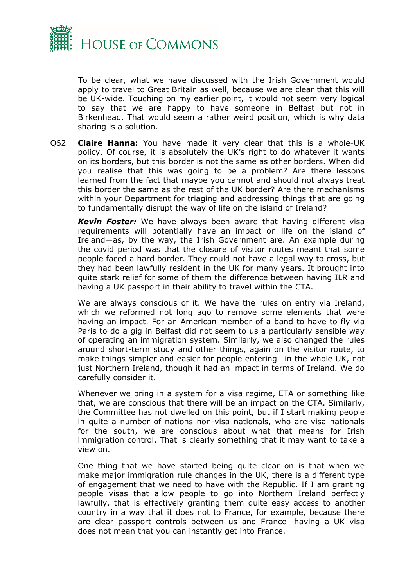

To be clear, what we have discussed with the Irish Government would apply to travel to Great Britain as well, because we are clear that this will be UK-wide. Touching on my earlier point, it would not seem very logical to say that we are happy to have someone in Belfast but not in Birkenhead. That would seem a rather weird position, which is why data sharing is a solution.

Q62 **Claire Hanna:** You have made it very clear that this is a whole-UK policy. Of course, it is absolutely the UK's right to do whatever it wants on its borders, but this border is not the same as other borders. When did you realise that this was going to be a problem? Are there lessons learned from the fact that maybe you cannot and should not always treat this border the same as the rest of the UK border? Are there mechanisms within your Department for triaging and addressing things that are going to fundamentally disrupt the way of life on the island of Ireland?

*Kevin Foster:* We have always been aware that having different visa requirements will potentially have an impact on life on the island of Ireland—as, by the way, the Irish Government are. An example during the covid period was that the closure of visitor routes meant that some people faced a hard border. They could not have a legal way to cross, but they had been lawfully resident in the UK for many years. It brought into quite stark relief for some of them the difference between having ILR and having a UK passport in their ability to travel within the CTA.

We are always conscious of it. We have the rules on entry via Ireland, which we reformed not long ago to remove some elements that were having an impact. For an American member of a band to have to fly via Paris to do a gig in Belfast did not seem to us a particularly sensible way of operating an immigration system. Similarly, we also changed the rules around short-term study and other things, again on the visitor route, to make things simpler and easier for people entering—in the whole UK, not just Northern Ireland, though it had an impact in terms of Ireland. We do carefully consider it.

Whenever we bring in a system for a visa regime, ETA or something like that, we are conscious that there will be an impact on the CTA. Similarly, the Committee has not dwelled on this point, but if I start making people in quite a number of nations non-visa nationals, who are visa nationals for the south, we are conscious about what that means for Irish immigration control. That is clearly something that it may want to take a view on.

One thing that we have started being quite clear on is that when we make major immigration rule changes in the UK, there is a different type of engagement that we need to have with the Republic. If I am granting people visas that allow people to go into Northern Ireland perfectly lawfully, that is effectively granting them quite easy access to another country in a way that it does not to France, for example, because there are clear passport controls between us and France—having a UK visa does not mean that you can instantly get into France.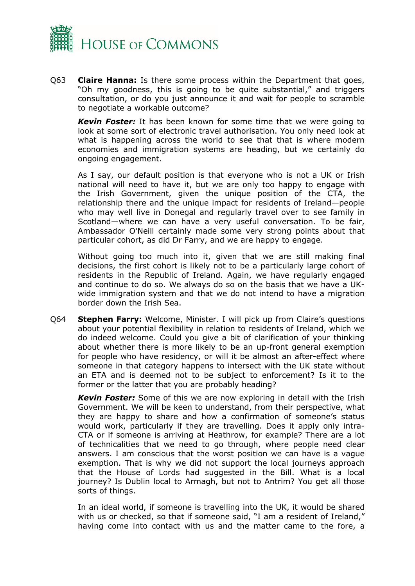

Q63 **Claire Hanna:** Is there some process within the Department that goes, "Oh my goodness, this is going to be quite substantial," and triggers consultation, or do you just announce it and wait for people to scramble to negotiate a workable outcome?

*Kevin Foster:* It has been known for some time that we were going to look at some sort of electronic travel authorisation. You only need look at what is happening across the world to see that that is where modern economies and immigration systems are heading, but we certainly do ongoing engagement.

As I say, our default position is that everyone who is not a UK or Irish national will need to have it, but we are only too happy to engage with the Irish Government, given the unique position of the CTA, the relationship there and the unique impact for residents of Ireland—people who may well live in Donegal and regularly travel over to see family in Scotland—where we can have a very useful conversation. To be fair, Ambassador O'Neill certainly made some very strong points about that particular cohort, as did Dr Farry, and we are happy to engage.

Without going too much into it, given that we are still making final decisions, the first cohort is likely not to be a particularly large cohort of residents in the Republic of Ireland. Again, we have regularly engaged and continue to do so. We always do so on the basis that we have a UKwide immigration system and that we do not intend to have a migration border down the Irish Sea.

Q64 **Stephen Farry:** Welcome, Minister. I will pick up from Claire's questions about your potential flexibility in relation to residents of Ireland, which we do indeed welcome. Could you give a bit of clarification of your thinking about whether there is more likely to be an up-front general exemption for people who have residency, or will it be almost an after-effect where someone in that category happens to intersect with the UK state without an ETA and is deemed not to be subject to enforcement? Is it to the former or the latter that you are probably heading?

*Kevin Foster:* Some of this we are now exploring in detail with the Irish Government. We will be keen to understand, from their perspective, what they are happy to share and how a confirmation of someone's status would work, particularly if they are travelling. Does it apply only intra-CTA or if someone is arriving at Heathrow, for example? There are a lot of technicalities that we need to go through, where people need clear answers. I am conscious that the worst position we can have is a vague exemption. That is why we did not support the local journeys approach that the House of Lords had suggested in the Bill. What is a local journey? Is Dublin local to Armagh, but not to Antrim? You get all those sorts of things.

In an ideal world, if someone is travelling into the UK, it would be shared with us or checked, so that if someone said, "I am a resident of Ireland," having come into contact with us and the matter came to the fore, a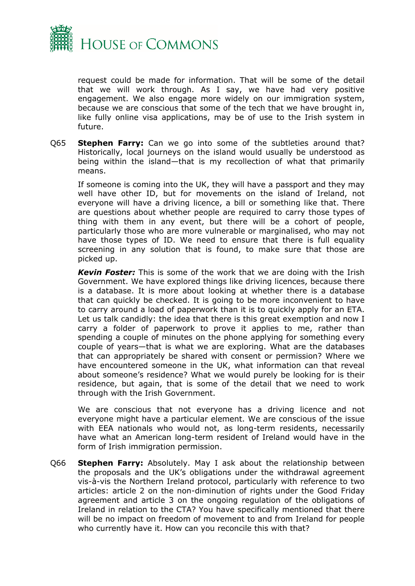

request could be made for information. That will be some of the detail that we will work through. As I say, we have had very positive engagement. We also engage more widely on our immigration system, because we are conscious that some of the tech that we have brought in, like fully online visa applications, may be of use to the Irish system in future.

Q65 **Stephen Farry:** Can we go into some of the subtleties around that? Historically, local journeys on the island would usually be understood as being within the island—that is my recollection of what that primarily means.

If someone is coming into the UK, they will have a passport and they may well have other ID, but for movements on the island of Ireland, not everyone will have a driving licence, a bill or something like that. There are questions about whether people are required to carry those types of thing with them in any event, but there will be a cohort of people, particularly those who are more vulnerable or marginalised, who may not have those types of ID. We need to ensure that there is full equality screening in any solution that is found, to make sure that those are picked up.

*Kevin Foster:* This is some of the work that we are doing with the Irish Government. We have explored things like driving licences, because there is a database. It is more about looking at whether there is a database that can quickly be checked. It is going to be more inconvenient to have to carry around a load of paperwork than it is to quickly apply for an ETA. Let us talk candidly: the idea that there is this great exemption and now I carry a folder of paperwork to prove it applies to me, rather than spending a couple of minutes on the phone applying for something every couple of years—that is what we are exploring. What are the databases that can appropriately be shared with consent or permission? Where we have encountered someone in the UK, what information can that reveal about someone's residence? What we would purely be looking for is their residence, but again, that is some of the detail that we need to work through with the Irish Government.

We are conscious that not everyone has a driving licence and not everyone might have a particular element. We are conscious of the issue with EEA nationals who would not, as long-term residents, necessarily have what an American long-term resident of Ireland would have in the form of Irish immigration permission.

Q66 **Stephen Farry:** Absolutely. May I ask about the relationship between the proposals and the UK's obligations under the withdrawal agreement vis-à-vis the Northern Ireland protocol, particularly with reference to two articles: article 2 on the non-diminution of rights under the Good Friday agreement and article 3 on the ongoing regulation of the obligations of Ireland in relation to the CTA? You have specifically mentioned that there will be no impact on freedom of movement to and from Ireland for people who currently have it. How can you reconcile this with that?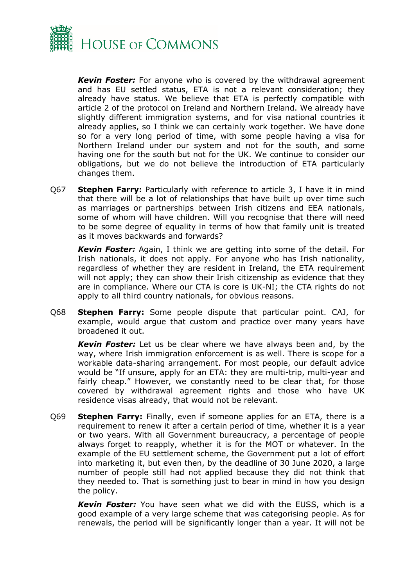

*Kevin Foster:* For anyone who is covered by the withdrawal agreement and has EU settled status, ETA is not a relevant consideration; they already have status. We believe that ETA is perfectly compatible with article 2 of the protocol on Ireland and Northern Ireland. We already have slightly different immigration systems, and for visa national countries it already applies, so I think we can certainly work together. We have done so for a very long period of time, with some people having a visa for Northern Ireland under our system and not for the south, and some having one for the south but not for the UK. We continue to consider our obligations, but we do not believe the introduction of ETA particularly changes them.

Q67 **Stephen Farry:** Particularly with reference to article 3, I have it in mind that there will be a lot of relationships that have built up over time such as marriages or partnerships between Irish citizens and EEA nationals, some of whom will have children. Will you recognise that there will need to be some degree of equality in terms of how that family unit is treated as it moves backwards and forwards?

*Kevin Foster:* Again, I think we are getting into some of the detail. For Irish nationals, it does not apply. For anyone who has Irish nationality, regardless of whether they are resident in Ireland, the ETA requirement will not apply; they can show their Irish citizenship as evidence that they are in compliance. Where our CTA is core is UK-NI; the CTA rights do not apply to all third country nationals, for obvious reasons.

Q68 **Stephen Farry:** Some people dispute that particular point. CAJ, for example, would argue that custom and practice over many years have broadened it out.

*Kevin Foster:* Let us be clear where we have always been and, by the way, where Irish immigration enforcement is as well. There is scope for a workable data-sharing arrangement. For most people, our default advice would be "If unsure, apply for an ETA: they are multi-trip, multi-year and fairly cheap." However, we constantly need to be clear that, for those covered by withdrawal agreement rights and those who have UK residence visas already, that would not be relevant.

Q69 **Stephen Farry:** Finally, even if someone applies for an ETA, there is a requirement to renew it after a certain period of time, whether it is a year or two years. With all Government bureaucracy, a percentage of people always forget to reapply, whether it is for the MOT or whatever. In the example of the EU settlement scheme, the Government put a lot of effort into marketing it, but even then, by the deadline of 30 June 2020, a large number of people still had not applied because they did not think that they needed to. That is something just to bear in mind in how you design the policy.

*Kevin Foster:* You have seen what we did with the EUSS, which is a good example of a very large scheme that was categorising people. As for renewals, the period will be significantly longer than a year. It will not be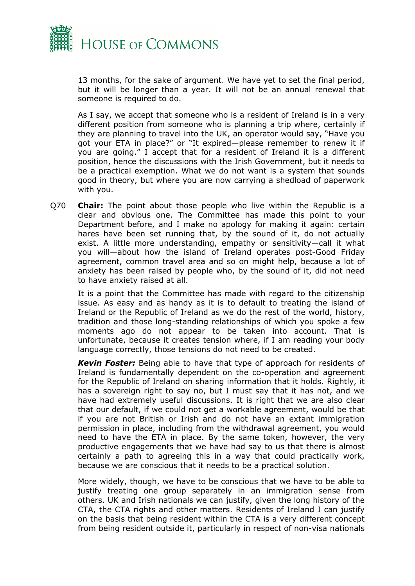

13 months, for the sake of argument. We have yet to set the final period, but it will be longer than a year. It will not be an annual renewal that someone is required to do.

As I say, we accept that someone who is a resident of Ireland is in a very different position from someone who is planning a trip where, certainly if they are planning to travel into the UK, an operator would say, "Have you got your ETA in place?" or "It expired—please remember to renew it if you are going." I accept that for a resident of Ireland it is a different position, hence the discussions with the Irish Government, but it needs to be a practical exemption. What we do not want is a system that sounds good in theory, but where you are now carrying a shedload of paperwork with you.

Q70 **Chair:** The point about those people who live within the Republic is a clear and obvious one. The Committee has made this point to your Department before, and I make no apology for making it again: certain hares have been set running that, by the sound of it, do not actually exist. A little more understanding, empathy or sensitivity—call it what you will—about how the island of Ireland operates post-Good Friday agreement, common travel area and so on might help, because a lot of anxiety has been raised by people who, by the sound of it, did not need to have anxiety raised at all.

It is a point that the Committee has made with regard to the citizenship issue. As easy and as handy as it is to default to treating the island of Ireland or the Republic of Ireland as we do the rest of the world, history, tradition and those long-standing relationships of which you spoke a few moments ago do not appear to be taken into account. That is unfortunate, because it creates tension where, if I am reading your body language correctly, those tensions do not need to be created.

*Kevin Foster:* Being able to have that type of approach for residents of Ireland is fundamentally dependent on the co-operation and agreement for the Republic of Ireland on sharing information that it holds. Rightly, it has a sovereign right to say no, but I must say that it has not, and we have had extremely useful discussions. It is right that we are also clear that our default, if we could not get a workable agreement, would be that if you are not British or Irish and do not have an extant immigration permission in place, including from the withdrawal agreement, you would need to have the ETA in place. By the same token, however, the very productive engagements that we have had say to us that there is almost certainly a path to agreeing this in a way that could practically work, because we are conscious that it needs to be a practical solution.

More widely, though, we have to be conscious that we have to be able to justify treating one group separately in an immigration sense from others. UK and Irish nationals we can justify, given the long history of the CTA, the CTA rights and other matters. Residents of Ireland I can justify on the basis that being resident within the CTA is a very different concept from being resident outside it, particularly in respect of non-visa nationals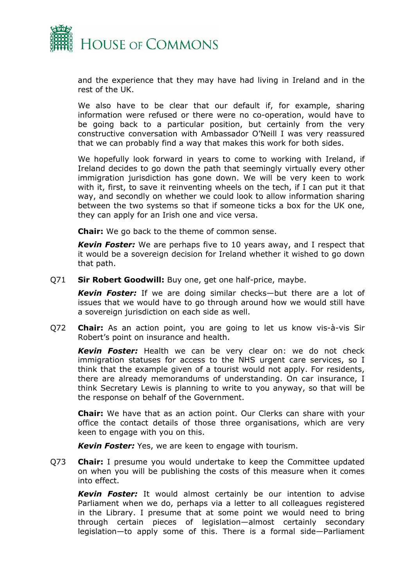

and the experience that they may have had living in Ireland and in the rest of the UK.

We also have to be clear that our default if, for example, sharing information were refused or there were no co-operation, would have to be going back to a particular position, but certainly from the very constructive conversation with Ambassador O'Neill I was very reassured that we can probably find a way that makes this work for both sides.

We hopefully look forward in years to come to working with Ireland, if Ireland decides to go down the path that seemingly virtually every other immigration jurisdiction has gone down. We will be very keen to work with it, first, to save it reinventing wheels on the tech, if I can put it that way, and secondly on whether we could look to allow information sharing between the two systems so that if someone ticks a box for the UK one, they can apply for an Irish one and vice versa.

**Chair:** We go back to the theme of common sense.

*Kevin Foster:* We are perhaps five to 10 years away, and I respect that it would be a sovereign decision for Ireland whether it wished to go down that path.

Q71 **Sir Robert Goodwill:** Buy one, get one half-price, maybe.

*Kevin Foster:* If we are doing similar checks—but there are a lot of issues that we would have to go through around how we would still have a sovereign jurisdiction on each side as well.

Q72 **Chair:** As an action point, you are going to let us know vis-à-vis Sir Robert's point on insurance and health.

*Kevin Foster:* Health we can be very clear on: we do not check immigration statuses for access to the NHS urgent care services, so I think that the example given of a tourist would not apply. For residents, there are already memorandums of understanding. On car insurance, I think Secretary Lewis is planning to write to you anyway, so that will be the response on behalf of the Government.

**Chair:** We have that as an action point. Our Clerks can share with your office the contact details of those three organisations, which are very keen to engage with you on this.

*Kevin Foster:* Yes, we are keen to engage with tourism.

Q73 **Chair:** I presume you would undertake to keep the Committee updated on when you will be publishing the costs of this measure when it comes into effect.

*Kevin Foster:* It would almost certainly be our intention to advise Parliament when we do, perhaps via a letter to all colleagues registered in the Library. I presume that at some point we would need to bring through certain pieces of legislation—almost certainly secondary legislation—to apply some of this. There is a formal side—Parliament